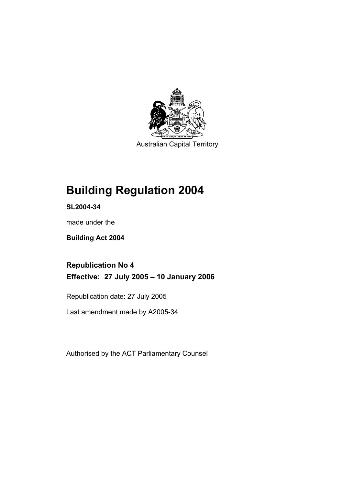

Australian Capital Territory

## **Building Regulation 2004**

**SL2004-34** 

made under the

**Building Act 2004** 

**Republication No 4 Effective: 27 July 2005 – 10 January 2006** 

Republication date: 27 July 2005

Last amendment made by A2005-34

Authorised by the ACT Parliamentary Counsel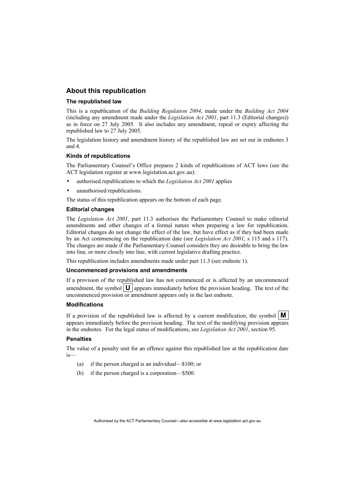## **About this republication**

#### **The republished law**

This is a republication of the *Building Regulation 2004*, made under the *Building Act 2004* (including any amendment made under the *Legislation Act 2001*, part 11.3 (Editorial changes)) as in force on 27 July 2005*.* It also includes any amendment, repeal or expiry affecting the republished law to 27 July 2005.

The legislation history and amendment history of the republished law are set out in endnotes 3 and 4.

#### **Kinds of republications**

The Parliamentary Counsel's Office prepares 2 kinds of republications of ACT laws (see the ACT legislation register at www.legislation.act.gov.au):

- authorised republications to which the *Legislation Act 2001* applies
- unauthorised republications.

The status of this republication appears on the bottom of each page.

#### **Editorial changes**

The *Legislation Act 2001*, part 11.3 authorises the Parliamentary Counsel to make editorial amendments and other changes of a formal nature when preparing a law for republication. Editorial changes do not change the effect of the law, but have effect as if they had been made by an Act commencing on the republication date (see *Legislation Act 2001*, s 115 and s 117). The changes are made if the Parliamentary Counsel considers they are desirable to bring the law into line, or more closely into line, with current legislative drafting practice.

This republication includes amendments made under part 11.3 (see endnote 1).

#### **Uncommenced provisions and amendments**

If a provision of the republished law has not commenced or is affected by an uncommenced amendment, the symbol  $\mathbf{U}$  appears immediately before the provision heading. The text of the uncommenced provision or amendment appears only in the last endnote.

#### **Modifications**

If a provision of the republished law is affected by a current modification, the symbol  $\mathbf{M}$ appears immediately before the provision heading. The text of the modifying provision appears in the endnotes. For the legal status of modifications, see *Legislation Act 2001*, section 95.

#### **Penalties**

The value of a penalty unit for an offence against this republished law at the republication date is—

- (a) if the person charged is an individual—\$100; or
- (b) if the person charged is a corporation—\$500.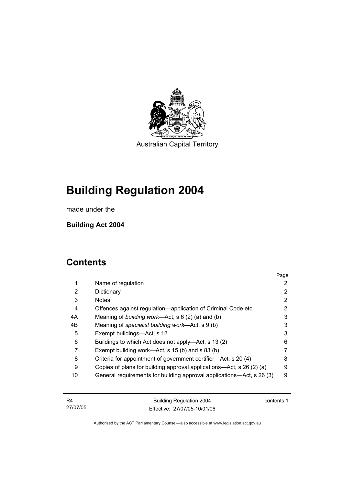

Australian Capital Territory

# **Building Regulation 2004**

made under the

**Building Act 2004** 

## **Contents**

|             |                                                                       | Page |
|-------------|-----------------------------------------------------------------------|------|
| $\mathbf 1$ | Name of regulation                                                    | 2    |
| 2           | Dictionary                                                            | 2    |
| 3           | <b>Notes</b>                                                          | 2    |
| 4           | Offences against regulation—application of Criminal Code etc          | 2    |
| 4A          | Meaning of building work—Act, s 6 (2) (a) and (b)                     | 3    |
| 4B          | Meaning of specialist building work—Act, s 9 (b)                      | 3    |
| 5           | Exempt buildings—Act, s 12                                            | 3    |
| 6           | Buildings to which Act does not apply—Act, s 13 (2)                   | 6    |
|             | Exempt building work—Act, s 15 (b) and s 83 (b)                       | 7    |
| 8           | Criteria for appointment of government certifier—Act, s 20 (4)        | 8    |
| 9           | Copies of plans for building approval applications—Act, s 26 (2) (a)  | 9    |
| 10          | General requirements for building approval applications—Act, s 26 (3) | 9    |
|             |                                                                       |      |

| - R4     | Building Regulation 2004     | contents 1 |
|----------|------------------------------|------------|
| 27/07/05 | Effective: 27/07/05-10/01/06 |            |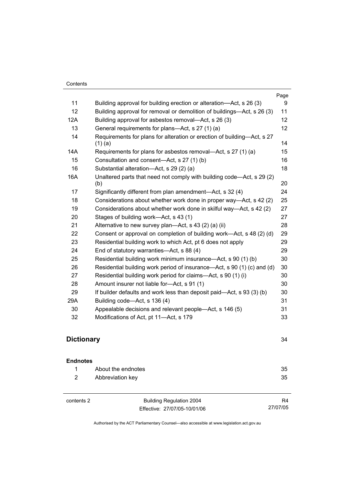|     |                                                                                      | Page |
|-----|--------------------------------------------------------------------------------------|------|
| 11  | Building approval for building erection or alteration—Act, s 26 (3)                  | 9    |
| 12  | Building approval for removal or demolition of buildings—Act, s 26 (3)               | 11   |
| 12A | Building approval for asbestos removal—Act, s 26 (3)                                 | 12   |
| 13  | General requirements for plans—Act, s 27 (1) (a)                                     | 12   |
| 14  | Requirements for plans for alteration or erection of building—Act, s 27<br>$(1)$ (a) | 14   |
| 14A | Requirements for plans for asbestos removal—Act, s 27 (1) (a)                        | 15   |
| 15  | Consultation and consent-Act, s 27 (1) (b)                                           | 16   |
| 16  | Substantial alteration-Act, s 29 (2) (a)                                             | 18   |
| 16A | Unaltered parts that need not comply with building code—Act, s 29 (2)<br>(b)         | 20   |
| 17  | Significantly different from plan amendment—Act, s 32 (4)                            | 24   |
| 18  | Considerations about whether work done in proper way—Act, s 42 (2)                   | 25   |
| 19  | Considerations about whether work done in skilful way—Act, s 42 (2)                  | 27   |
| 20  | Stages of building work—Act, s 43 (1)                                                | 27   |
| 21  | Alternative to new survey plan-Act, s 43 (2) (a) (ii)                                | 28   |
| 22  | Consent or approval on completion of building work—Act, s 48 (2) (d)                 | 29   |
| 23  | Residential building work to which Act, pt 6 does not apply                          | 29   |
| 24  | End of statutory warranties-Act, s 88 (4)                                            | 29   |
| 25  | Residential building work minimum insurance—Act, s 90 (1) (b)                        | 30   |
| 26  | Residential building work period of insurance—Act, s 90 (1) (c) and (d)              | 30   |
| 27  | Residential building work period for claims-Act, s 90 (1) (i)                        | 30   |
| 28  | Amount insurer not liable for-Act, s 91 (1)                                          | 30   |
| 29  | If builder defaults and work less than deposit paid—Act, s 93 (3) (b)                | 30   |
| 29A | Building code—Act, s 136 (4)                                                         | 31   |
| 30  | Appealable decisions and relevant people—Act, s 146 (5)                              | 31   |
| 32  | Modifications of Act, pt 11-Act, s 179                                               | 33   |
|     |                                                                                      |      |

## **Dictionary** 34

## **Endnotes**

| About the endnotes | 35 |
|--------------------|----|
| Abbreviation key   | 35 |
|                    |    |

contents 2 Building Regulation 2004 Effective: 27/07/05-10/01/06

R4 27/07/05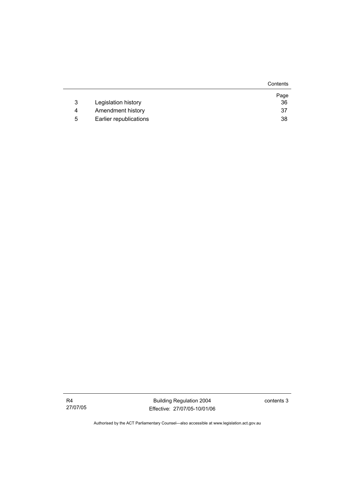|   |                        | Contents |
|---|------------------------|----------|
|   |                        | Page     |
| 3 | Legislation history    | 36       |
| 4 | Amendment history      | 37       |
| 5 | Earlier republications | 38       |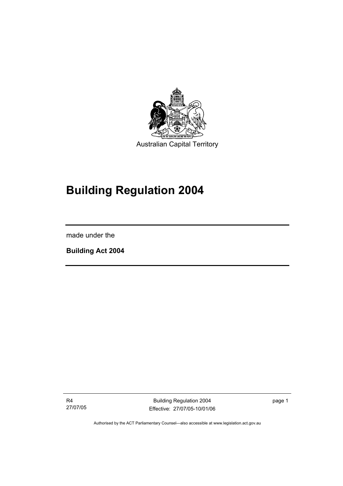

# **Building Regulation 2004**

made under the

I

**Building Act 2004** 

R4 27/07/05

Building Regulation 2004 Effective: 27/07/05-10/01/06 page 1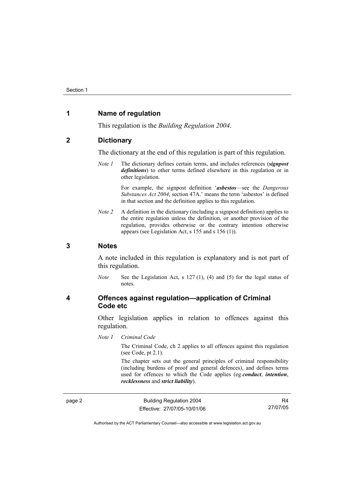## **1 Name of regulation**

This regulation is the *Building Regulation 2004*.

## **2 Dictionary**

The dictionary at the end of this regulation is part of this regulation.

*Note 1* The dictionary defines certain terms, and includes references (*signpost definitions*) to other terms defined elsewhere in this regulation or in other legislation.

> For example, the signpost definition '*asbestos*—see the *Dangerous Substances Act 2004*, section 47A.' means the term 'asbestos' is defined in that section and the definition applies to this regulation.

*Note 2* A definition in the dictionary (including a signpost definition) applies to the entire regulation unless the definition, or another provision of the regulation, provides otherwise or the contrary intention otherwise appears (see Legislation Act, s 155 and s 156 (1)).

## **3 Notes**

A note included in this regulation is explanatory and is not part of this regulation.

*Note* See the Legislation Act, s 127 (1), (4) and (5) for the legal status of notes.

## **4 Offences against regulation—application of Criminal Code etc**

Other legislation applies in relation to offences against this regulation.

*Note 1 Criminal Code*

The Criminal Code, ch 2 applies to all offences against this regulation (see Code, pt 2.1).

The chapter sets out the general principles of criminal responsibility (including burdens of proof and general defences), and defines terms used for offences to which the Code applies (eg *conduct*, *intention*, *recklessness* and *strict liability*).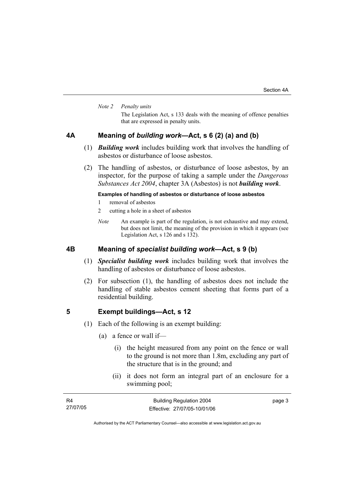#### *Note 2 Penalty units*

The Legislation Act, s 133 deals with the meaning of offence penalties that are expressed in penalty units.

## **4A Meaning of** *building work***—Act, s 6 (2) (a) and (b)**

- (1) *Building work* includes building work that involves the handling of asbestos or disturbance of loose asbestos.
- (2) The handling of asbestos, or disturbance of loose asbestos, by an inspector, for the purpose of taking a sample under the *Dangerous Substances Act 2004*, chapter 3A (Asbestos) is not *building work*.

### **Examples of handling of asbestos or disturbance of loose asbestos**

- 1 removal of asbestos
- 2 cutting a hole in a sheet of asbestos
- *Note* An example is part of the regulation, is not exhaustive and may extend, but does not limit, the meaning of the provision in which it appears (see Legislation Act, s 126 and s 132).

## **4B Meaning of** *specialist building work***—Act, s 9 (b)**

- (1) *Specialist building work* includes building work that involves the handling of asbestos or disturbance of loose asbestos.
- (2) For subsection (1), the handling of asbestos does not include the handling of stable asbestos cement sheeting that forms part of a residential building.

#### **5 Exempt buildings—Act, s 12**

- (1) Each of the following is an exempt building:
	- (a) a fence or wall if—
		- (i) the height measured from any point on the fence or wall to the ground is not more than 1.8m, excluding any part of the structure that is in the ground; and
		- (ii) it does not form an integral part of an enclosure for a swimming pool;

| <b>R4</b> | <b>Building Regulation 2004</b> | page 3 |
|-----------|---------------------------------|--------|
| 27/07/05  | Effective: 27/07/05-10/01/06    |        |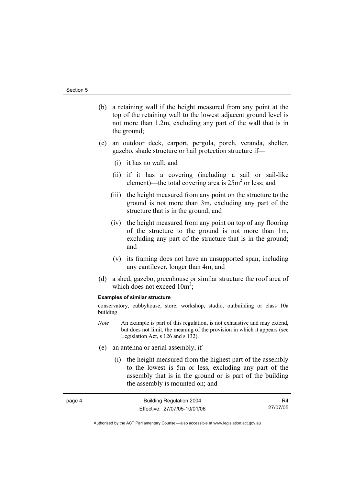page 4

- (b) a retaining wall if the height measured from any point at the top of the retaining wall to the lowest adjacent ground level is not more than 1.2m, excluding any part of the wall that is in the ground;
- (c) an outdoor deck, carport, pergola, porch, veranda, shelter, gazebo, shade structure or hail protection structure if—
	- (i) it has no wall; and
	- (ii) if it has a covering (including a sail or sail-like element)—the total covering area is  $25m^2$  or less; and
	- (iii) the height measured from any point on the structure to the ground is not more than 3m, excluding any part of the structure that is in the ground; and
	- (iv) the height measured from any point on top of any flooring of the structure to the ground is not more than 1m, excluding any part of the structure that is in the ground; and
	- (v) its framing does not have an unsupported span, including any cantilever, longer than 4m; and
- (d) a shed, gazebo, greenhouse or similar structure the roof area of which does not exceed  $10m^2$ ;

#### **Examples of similar structure**

conservatory, cubbyhouse, store, workshop, studio, outbuilding or class 10a building

- *Note* An example is part of this regulation, is not exhaustive and may extend, but does not limit, the meaning of the provision in which it appears (see Legislation Act, s 126 and s 132).
- (e) an antenna or aerial assembly, if—
	- (i) the height measured from the highest part of the assembly to the lowest is 5m or less, excluding any part of the assembly that is in the ground or is part of the building the assembly is mounted on; and

| Building Regulation 2004     | R4       |
|------------------------------|----------|
| Effective: 27/07/05-10/01/06 | 27/07/05 |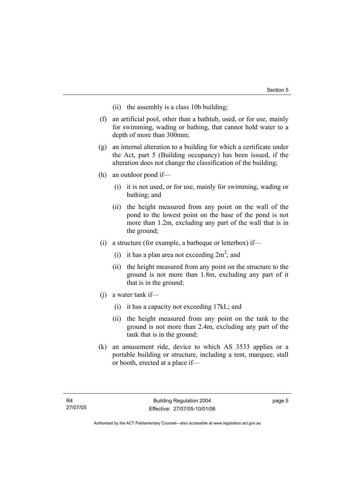- (ii) the assembly is a class 10b building;
- (f) an artificial pool, other than a bathtub, used, or for use, mainly for swimming, wading or bathing, that cannot hold water to a depth of more than 300mm;
- (g) an internal alteration to a building for which a certificate under the Act, part 5 (Building occupancy) has been issued, if the alteration does not change the classification of the building;
- (h) an outdoor pond if—
	- (i) it is not used, or for use, mainly for swimming, wading or bathing; and
	- (ii) the height measured from any point on the wall of the pond to the lowest point on the base of the pond is not more than 1.2m, excluding any part of the wall that is in the ground;
- (i) a structure (for example, a barbeque or letterbox) if—
- (i) it has a plan area not exceeding  $2m^2$ ; and
	- (ii) the height measured from any point on the structure to the ground is not more than 1.8m, excluding any part of it that is in the ground;
	- (j) a water tank if—
		- (i) it has a capacity not exceeding 17kL; and
		- (ii) the height measured from any point on the tank to the ground is not more than 2.4m, excluding any part of the tank that is in the ground;
	- (k) an amusement ride, device to which AS 3533 applies or a portable building or structure, including a tent, marquee, stall or booth, erected at a place if—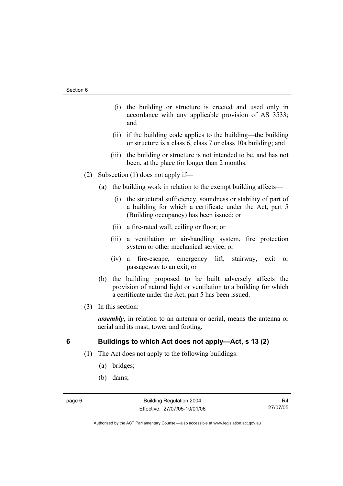- (i) the building or structure is erected and used only in accordance with any applicable provision of AS 3533; and
- (ii) if the building code applies to the building—the building or structure is a class 6, class 7 or class 10a building; and
- (iii) the building or structure is not intended to be, and has not been, at the place for longer than 2 months.
- (2) Subsection (1) does not apply if—
	- (a) the building work in relation to the exempt building affects—
		- (i) the structural sufficiency, soundness or stability of part of a building for which a certificate under the Act, part 5 (Building occupancy) has been issued; or
		- (ii) a fire-rated wall, ceiling or floor; or
		- (iii) a ventilation or air-handling system, fire protection system or other mechanical service; or
		- (iv) a fire-escape, emergency lift, stairway, exit or passageway to an exit; or
	- (b) the building proposed to be built adversely affects the provision of natural light or ventilation to a building for which a certificate under the Act, part 5 has been issued.
- (3) In this section:

*assembly*, in relation to an antenna or aerial, means the antenna or aerial and its mast, tower and footing.

## **6 Buildings to which Act does not apply—Act, s 13 (2)**

- (1) The Act does not apply to the following buildings:
	- (a) bridges;
	- (b) dams;

R4 27/07/05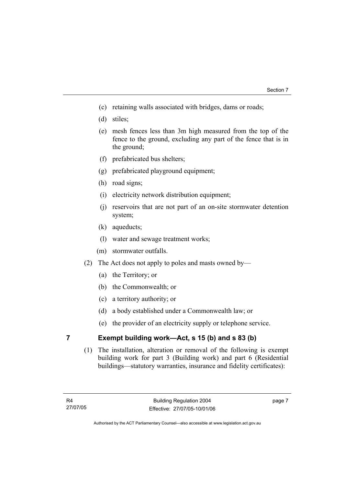- (c) retaining walls associated with bridges, dams or roads;
- (d) stiles;
- (e) mesh fences less than 3m high measured from the top of the fence to the ground, excluding any part of the fence that is in the ground;
- (f) prefabricated bus shelters;
- (g) prefabricated playground equipment;
- (h) road signs;
- (i) electricity network distribution equipment;
- (j) reservoirs that are not part of an on-site stormwater detention system;
- (k) aqueducts;
- (l) water and sewage treatment works;
- (m) stormwater outfalls.
- (2) The Act does not apply to poles and masts owned by—
	- (a) the Territory; or
	- (b) the Commonwealth; or
	- (c) a territory authority; or
	- (d) a body established under a Commonwealth law; or
	- (e) the provider of an electricity supply or telephone service.

## **7 Exempt building work—Act, s 15 (b) and s 83 (b)**

 (1) The installation, alteration or removal of the following is exempt building work for part 3 (Building work) and part 6 (Residential buildings—statutory warranties, insurance and fidelity certificates):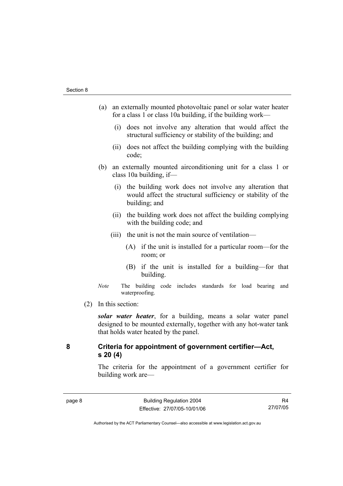- (a) an externally mounted photovoltaic panel or solar water heater for a class 1 or class 10a building, if the building work—
	- (i) does not involve any alteration that would affect the structural sufficiency or stability of the building; and
	- (ii) does not affect the building complying with the building code;
- (b) an externally mounted airconditioning unit for a class 1 or class 10a building, if—
	- (i) the building work does not involve any alteration that would affect the structural sufficiency or stability of the building; and
	- (ii) the building work does not affect the building complying with the building code; and
	- (iii) the unit is not the main source of ventilation—
		- (A) if the unit is installed for a particular room—for the room; or
		- (B) if the unit is installed for a building—for that building.
- *Note* The building code includes standards for load bearing and waterproofing.
- (2) In this section:

*solar water heater*, for a building, means a solar water panel designed to be mounted externally, together with any hot-water tank that holds water heated by the panel.

## **8 Criteria for appointment of government certifier—Act, s 20 (4)**

The criteria for the appointment of a government certifier for building work are—

R4 27/07/05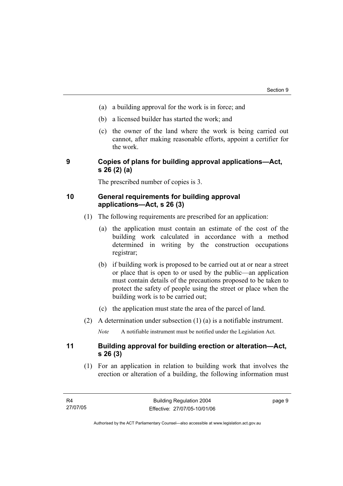- (a) a building approval for the work is in force; and
- (b) a licensed builder has started the work; and
- (c) the owner of the land where the work is being carried out cannot, after making reasonable efforts, appoint a certifier for the work.

## **9 Copies of plans for building approval applications—Act, s 26 (2) (a)**

The prescribed number of copies is 3.

## **10 General requirements for building approval applications—Act, s 26 (3)**

- (1) The following requirements are prescribed for an application:
	- (a) the application must contain an estimate of the cost of the building work calculated in accordance with a method determined in writing by the construction occupations registrar;
	- (b) if building work is proposed to be carried out at or near a street or place that is open to or used by the public—an application must contain details of the precautions proposed to be taken to protect the safety of people using the street or place when the building work is to be carried out;
	- (c) the application must state the area of the parcel of land.
- (2) A determination under subsection (1) (a) is a notifiable instrument.

*Note* A notifiable instrument must be notified under the Legislation Act.

## **11 Building approval for building erection or alteration—Act, s 26 (3)**

 (1) For an application in relation to building work that involves the erection or alteration of a building, the following information must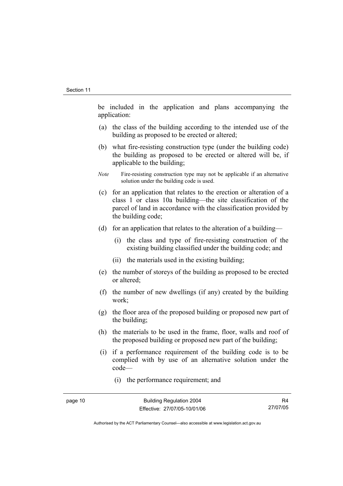be included in the application and plans accompanying the application:

- (a) the class of the building according to the intended use of the building as proposed to be erected or altered;
- (b) what fire-resisting construction type (under the building code) the building as proposed to be erected or altered will be, if applicable to the building;
- *Note* Fire-resisting construction type may not be applicable if an alternative solution under the building code is used.
- (c) for an application that relates to the erection or alteration of a class 1 or class 10a building—the site classification of the parcel of land in accordance with the classification provided by the building code;
- (d) for an application that relates to the alteration of a building—
	- (i) the class and type of fire-resisting construction of the existing building classified under the building code; and
	- (ii) the materials used in the existing building;
- (e) the number of storeys of the building as proposed to be erected or altered;
- (f) the number of new dwellings (if any) created by the building work;
- (g) the floor area of the proposed building or proposed new part of the building;
- (h) the materials to be used in the frame, floor, walls and roof of the proposed building or proposed new part of the building;
- (i) if a performance requirement of the building code is to be complied with by use of an alternative solution under the code—
	- (i) the performance requirement; and

R4 27/07/05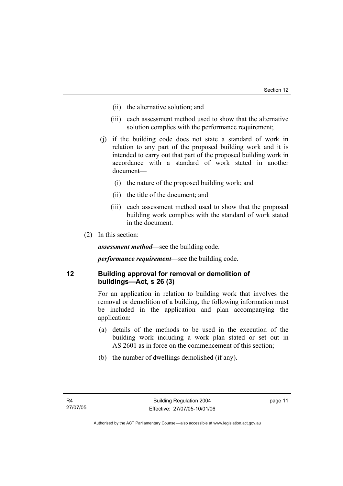- (ii) the alternative solution; and
- (iii) each assessment method used to show that the alternative solution complies with the performance requirement;
- (j) if the building code does not state a standard of work in relation to any part of the proposed building work and it is intended to carry out that part of the proposed building work in accordance with a standard of work stated in another document—
	- (i) the nature of the proposed building work; and
	- (ii) the title of the document; and
	- (iii) each assessment method used to show that the proposed building work complies with the standard of work stated in the document.
- (2) In this section:

*assessment method*—see the building code.

*performance requirement*—see the building code.

## **12 Building approval for removal or demolition of buildings—Act, s 26 (3)**

For an application in relation to building work that involves the removal or demolition of a building, the following information must be included in the application and plan accompanying the application:

- (a) details of the methods to be used in the execution of the building work including a work plan stated or set out in AS 2601 as in force on the commencement of this section;
- (b) the number of dwellings demolished (if any).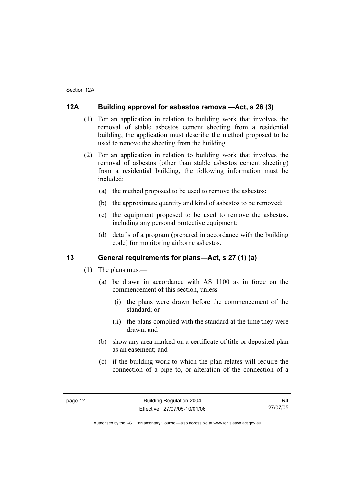## **12A Building approval for asbestos removal—Act, s 26 (3)**

- (1) For an application in relation to building work that involves the removal of stable asbestos cement sheeting from a residential building, the application must describe the method proposed to be used to remove the sheeting from the building.
- (2) For an application in relation to building work that involves the removal of asbestos (other than stable asbestos cement sheeting) from a residential building, the following information must be included:
	- (a) the method proposed to be used to remove the asbestos;
	- (b) the approximate quantity and kind of asbestos to be removed;
	- (c) the equipment proposed to be used to remove the asbestos, including any personal protective equipment;
	- (d) details of a program (prepared in accordance with the building code) for monitoring airborne asbestos.

## **13 General requirements for plans—Act, s 27 (1) (a)**

- (1) The plans must—
	- (a) be drawn in accordance with AS 1100 as in force on the commencement of this section, unless—
		- (i) the plans were drawn before the commencement of the standard; or
		- (ii) the plans complied with the standard at the time they were drawn; and
	- (b) show any area marked on a certificate of title or deposited plan as an easement; and
	- (c) if the building work to which the plan relates will require the connection of a pipe to, or alteration of the connection of a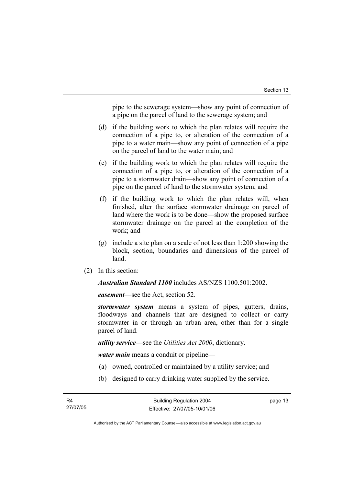pipe to the sewerage system—show any point of connection of a pipe on the parcel of land to the sewerage system; and

- (d) if the building work to which the plan relates will require the connection of a pipe to, or alteration of the connection of a pipe to a water main—show any point of connection of a pipe on the parcel of land to the water main; and
- (e) if the building work to which the plan relates will require the connection of a pipe to, or alteration of the connection of a pipe to a stormwater drain—show any point of connection of a pipe on the parcel of land to the stormwater system; and
- (f) if the building work to which the plan relates will, when finished, alter the surface stormwater drainage on parcel of land where the work is to be done—show the proposed surface stormwater drainage on the parcel at the completion of the work; and
- (g) include a site plan on a scale of not less than 1:200 showing the block, section, boundaries and dimensions of the parcel of land.
- (2) In this section:

*Australian Standard 1100* includes AS/NZS 1100.501:2002.

*easement*—see the Act, section 52.

*stormwater system* means a system of pipes, gutters, drains, floodways and channels that are designed to collect or carry stormwater in or through an urban area, other than for a single parcel of land.

*utility service*—see the *Utilities Act 2000*, dictionary.

*water main* means a conduit or pipeline—

- (a) owned, controlled or maintained by a utility service; and
- (b) designed to carry drinking water supplied by the service.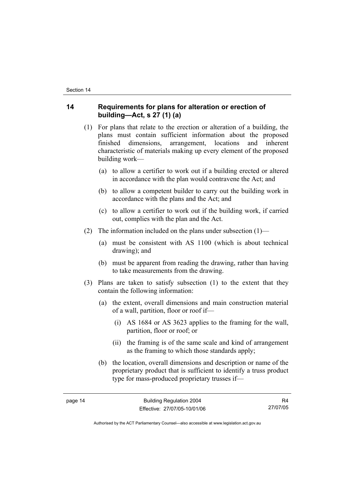## **14 Requirements for plans for alteration or erection of building—Act, s 27 (1) (a)**

- (1) For plans that relate to the erection or alteration of a building, the plans must contain sufficient information about the proposed finished dimensions, arrangement, locations and inherent characteristic of materials making up every element of the proposed building work—
	- (a) to allow a certifier to work out if a building erected or altered in accordance with the plan would contravene the Act; and
	- (b) to allow a competent builder to carry out the building work in accordance with the plans and the Act; and
	- (c) to allow a certifier to work out if the building work, if carried out, complies with the plan and the Act.
- (2) The information included on the plans under subsection  $(1)$ 
	- (a) must be consistent with AS 1100 (which is about technical drawing); and
	- (b) must be apparent from reading the drawing, rather than having to take measurements from the drawing.
- (3) Plans are taken to satisfy subsection (1) to the extent that they contain the following information:
	- (a) the extent, overall dimensions and main construction material of a wall, partition, floor or roof if—
		- (i) AS 1684 or AS 3623 applies to the framing for the wall, partition, floor or roof; or
		- (ii) the framing is of the same scale and kind of arrangement as the framing to which those standards apply;
	- (b) the location, overall dimensions and description or name of the proprietary product that is sufficient to identify a truss product type for mass-produced proprietary trusses if—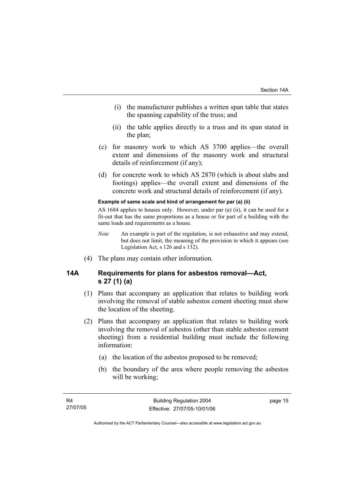- (i) the manufacturer publishes a written span table that states the spanning capability of the truss; and
- (ii) the table applies directly to a truss and its span stated in the plan;
- (c) for masonry work to which AS 3700 applies—the overall extent and dimensions of the masonry work and structural details of reinforcement (if any);
- (d) for concrete work to which AS 2870 (which is about slabs and footings) applies—the overall extent and dimensions of the concrete work and structural details of reinforcement (if any).

#### **Example of same scale and kind of arrangement for par (a) (ii)**

AS 1684 applies to houses only. However, under par (a) (ii), it can be used for a fit-out that has the same proportions as a house or for part of a building with the same loads and requirements as a house.

- *Note* An example is part of the regulation, is not exhaustive and may extend, but does not limit, the meaning of the provision in which it appears (see Legislation Act, s 126 and s 132).
- (4) The plans may contain other information.

## **14A Requirements for plans for asbestos removal—Act, s 27 (1) (a)**

- (1) Plans that accompany an application that relates to building work involving the removal of stable asbestos cement sheeting must show the location of the sheeting.
- (2) Plans that accompany an application that relates to building work involving the removal of asbestos (other than stable asbestos cement sheeting) from a residential building must include the following information:
	- (a) the location of the asbestos proposed to be removed;
	- (b) the boundary of the area where people removing the asbestos will be working;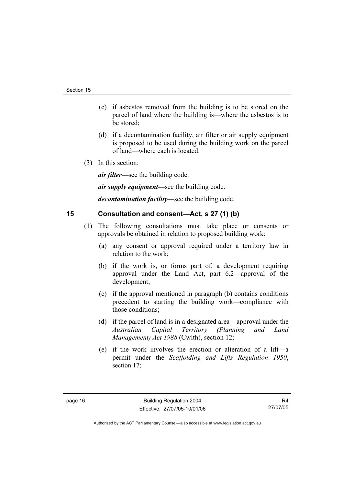- (c) if asbestos removed from the building is to be stored on the parcel of land where the building is—where the asbestos is to be stored;
- (d) if a decontamination facility, air filter or air supply equipment is proposed to be used during the building work on the parcel of land—where each is located.
- (3) In this section:

*air filter—*see the building code.

*air supply equipment—*see the building code.

*decontamination facility—*see the building code.

## **15 Consultation and consent—Act, s 27 (1) (b)**

- (1) The following consultations must take place or consents or approvals be obtained in relation to proposed building work:
	- (a) any consent or approval required under a territory law in relation to the work;
	- (b) if the work is, or forms part of, a development requiring approval under the Land Act, part 6.2—approval of the development;
	- (c) if the approval mentioned in paragraph (b) contains conditions precedent to starting the building work—compliance with those conditions;
	- (d) if the parcel of land is in a designated area—approval under the *Australian Capital Territory (Planning and Land Management) Act 1988* (Cwlth), section 12;
	- (e) if the work involves the erection or alteration of a lift—a permit under the *Scaffolding and Lifts Regulation 1950*, section 17;

R4 27/07/05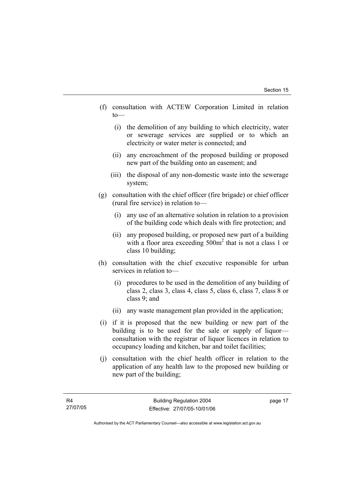- (f) consultation with ACTEW Corporation Limited in relation to—
	- (i) the demolition of any building to which electricity, water or sewerage services are supplied or to which an electricity or water meter is connected; and
	- (ii) any encroachment of the proposed building or proposed new part of the building onto an easement; and
	- (iii) the disposal of any non-domestic waste into the sewerage system;
- (g) consultation with the chief officer (fire brigade) or chief officer (rural fire service) in relation to—
	- (i) any use of an alternative solution in relation to a provision of the building code which deals with fire protection; and
	- (ii) any proposed building, or proposed new part of a building with a floor area exceeding 500m<sup>2</sup> that is not a class 1 or class 10 building;
- (h) consultation with the chief executive responsible for urban services in relation to—
	- (i) procedures to be used in the demolition of any building of class 2, class 3, class 4, class 5, class 6, class 7, class 8 or class 9; and
	- (ii) any waste management plan provided in the application;
- (i) if it is proposed that the new building or new part of the building is to be used for the sale or supply of liquor consultation with the registrar of liquor licences in relation to occupancy loading and kitchen, bar and toilet facilities;
- (j) consultation with the chief health officer in relation to the application of any health law to the proposed new building or new part of the building;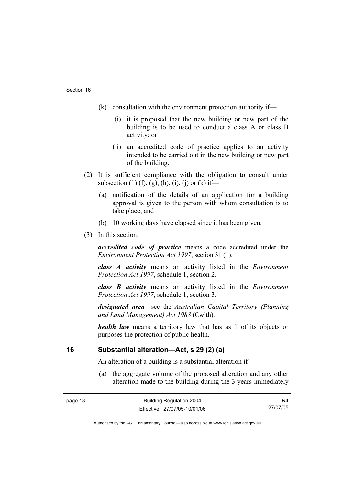- (k) consultation with the environment protection authority if—
	- (i) it is proposed that the new building or new part of the building is to be used to conduct a class A or class B activity; or
	- (ii) an accredited code of practice applies to an activity intended to be carried out in the new building or new part of the building.
- (2) It is sufficient compliance with the obligation to consult under subsection (1) (f), (g), (h), (i), (j) or (k) if—
	- (a) notification of the details of an application for a building approval is given to the person with whom consultation is to take place; and
	- (b) 10 working days have elapsed since it has been given.
- (3) In this section:

*accredited code of practice* means a code accredited under the *Environment Protection Act 1997*, section 31 (1).

*class A activity* means an activity listed in the *Environment Protection Act 1997*, schedule 1, section 2.

*class B activity* means an activity listed in the *Environment Protection Act 1997*, schedule 1, section 3.

*designated area*—see the *Australian Capital Territory (Planning and Land Management) Act 1988* (Cwlth).

*health law* means a territory law that has as 1 of its objects or purposes the protection of public health.

## **16 Substantial alteration—Act, s 29 (2) (a)**

An alteration of a building is a substantial alteration if—

 (a) the aggregate volume of the proposed alteration and any other alteration made to the building during the 3 years immediately

R4 27/07/05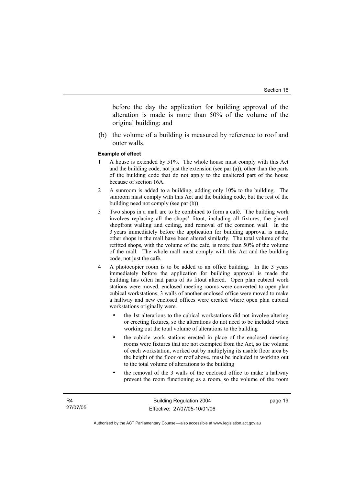before the day the application for building approval of the alteration is made is more than 50% of the volume of the original building; and

 (b) the volume of a building is measured by reference to roof and outer walls.

#### **Example of effect**

- 1 A house is extended by 51%. The whole house must comply with this Act and the building code, not just the extension (see par (a)), other than the parts of the building code that do not apply to the unaltered part of the house because of section 16A.
- 2 A sunroom is added to a building, adding only 10% to the building. The sunroom must comply with this Act and the building code, but the rest of the building need not comply (see par (b)).
- 3 Two shops in a mall are to be combined to form a café. The building work involves replacing all the shops' fitout, including all fixtures, the glazed shopfront walling and ceiling, and removal of the common wall. In the 3 years immediately before the application for building approval is made, other shops in the mall have been altered similarly. The total volume of the refitted shops, with the volume of the café, is more than 50% of the volume of the mall. The whole mall must comply with this Act and the building code, not just the café.
- 4 A photocopier room is to be added to an office building. In the 3 years immediately before the application for building approval is made the building has often had parts of its fitout altered. Open plan cubical work stations were moved, enclosed meeting rooms were converted to open plan cubical workstations, 3 walls of another enclosed office were moved to make a hallway and new enclosed offices were created where open plan cubical workstations originally were.
	- the 1st alterations to the cubical workstations did not involve altering or erecting fixtures, so the alterations do not need to be included when working out the total volume of alterations to the building
	- the cubicle work stations erected in place of the enclosed meeting rooms were fixtures that are not exempted from the Act, so the volume of each workstation, worked out by multiplying its usable floor area by the height of the floor or roof above, must be included in working out to the total volume of alterations to the building
	- the removal of the 3 walls of the enclosed office to make a hallway prevent the room functioning as a room, so the volume of the room

page 19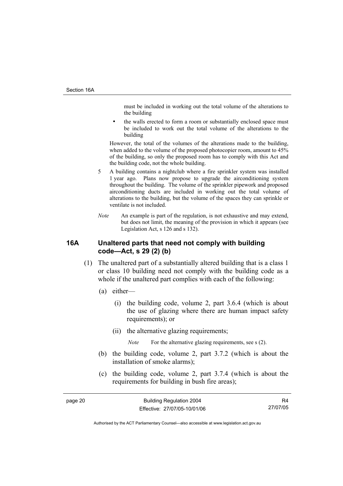must be included in working out the total volume of the alterations to the building

the walls erected to form a room or substantially enclosed space must be included to work out the total volume of the alterations to the building

However, the total of the volumes of the alterations made to the building, when added to the volume of the proposed photocopier room, amount to 45% of the building, so only the proposed room has to comply with this Act and the building code, not the whole building.

- 5 A building contains a nightclub where a fire sprinkler system was installed 1 year ago. Plans now propose to upgrade the airconditioning system throughout the building. The volume of the sprinkler pipework and proposed airconditioning ducts are included in working out the total volume of alterations to the building, but the volume of the spaces they can sprinkle or ventilate is not included.
- *Note* An example is part of the regulation, is not exhaustive and may extend, but does not limit, the meaning of the provision in which it appears (see Legislation Act, s 126 and s 132).

## **16A Unaltered parts that need not comply with building code—Act, s 29 (2) (b)**

- (1) The unaltered part of a substantially altered building that is a class 1 or class 10 building need not comply with the building code as a whole if the unaltered part complies with each of the following:
	- (a) either—
		- (i) the building code, volume 2, part 3.6.4 (which is about the use of glazing where there are human impact safety requirements); or
		- (ii) the alternative glazing requirements;

*Note* For the alternative glazing requirements, see s (2).

- (b) the building code, volume 2, part 3.7.2 (which is about the installation of smoke alarms);
- (c) the building code, volume 2, part 3.7.4 (which is about the requirements for building in bush fire areas);

R4 27/07/05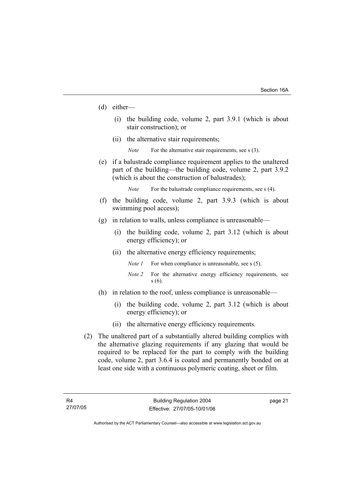- (d) either—
	- (i) the building code, volume 2, part 3.9.1 (which is about stair construction); or
	- (ii) the alternative stair requirements;
		- *Note* For the alternative stair requirements, see s (3).
- (e) if a balustrade compliance requirement applies to the unaltered part of the building—the building code, volume 2, part 3.9.2 (which is about the construction of balustrades);

*Note* For the balustrade compliance requirements, see s (4).

- (f) the building code, volume 2, part 3.9.3 (which is about swimming pool access);
- (g) in relation to walls, unless compliance is unreasonable—
	- (i) the building code, volume 2, part 3.12 (which is about energy efficiency); or
	- (ii) the alternative energy efficiency requirements;
		- *Note 1* For when compliance is unreasonable, see s (5).
		- *Note 2* For the alternative energy efficiency requirements, see s (6).
- (h) in relation to the roof, unless compliance is unreasonable—
	- (i) the building code, volume 2, part 3.12 (which is about energy efficiency); or
	- (ii) the alternative energy efficiency requirements.
- (2) The unaltered part of a substantially altered building complies with the alternative glazing requirements if any glazing that would be required to be replaced for the part to comply with the building code, volume 2, part 3.6.4 is coated and permanently bonded on at least one side with a continuous polymeric coating, sheet or film.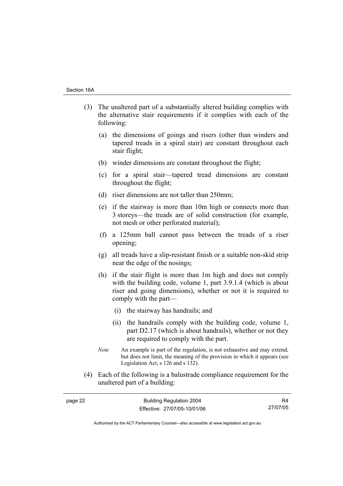- (3) The unaltered part of a substantially altered building complies with the alternative stair requirements if it complies with each of the following:
	- (a) the dimensions of goings and risers (other than winders and tapered treads in a spiral stair) are constant throughout each stair flight;
	- (b) winder dimensions are constant throughout the flight;
	- (c) for a spiral stair—tapered tread dimensions are constant throughout the flight;
	- (d) riser dimensions are not taller than 250mm;
	- (e) if the stairway is more than 10m high or connects more than 3 storeys—the treads are of solid construction (for example, not mesh or other perforated material);
	- (f) a 125mm ball cannot pass between the treads of a riser opening;
	- (g) all treads have a slip-resistant finish or a suitable non-skid strip near the edge of the nosings;
	- (h) if the stair flight is more than 1m high and does not comply with the building code, volume 1, part 3.9.1.4 (which is about riser and going dimensions), whether or not it is required to comply with the part—
		- (i) the stairway has handrails; and
		- (ii) the handrails comply with the building code, volume 1, part D2.17 (which is about handrails), whether or not they are required to comply with the part.
	- *Note* An example is part of the regulation, is not exhaustive and may extend, but does not limit, the meaning of the provision in which it appears (see Legislation Act, s 126 and s 132).
- (4) Each of the following is a balustrade compliance requirement for the unaltered part of a building:

| page 22 | <b>Building Regulation 2004</b> |          |
|---------|---------------------------------|----------|
|         | Effective: 27/07/05-10/01/06    | 27/07/05 |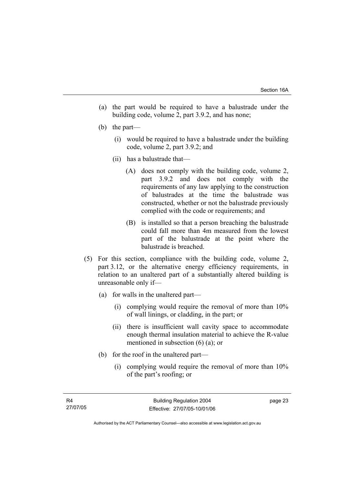- (a) the part would be required to have a balustrade under the building code, volume 2, part 3.9.2, and has none;
- (b) the part—
	- (i) would be required to have a balustrade under the building code, volume 2, part 3.9.2; and
	- (ii) has a balustrade that—
		- (A) does not comply with the building code, volume 2, part 3.9.2 and does not comply with the requirements of any law applying to the construction of balustrades at the time the balustrade was constructed, whether or not the balustrade previously complied with the code or requirements; and
		- (B) is installed so that a person breaching the balustrade could fall more than 4m measured from the lowest part of the balustrade at the point where the balustrade is breached.
- (5) For this section, compliance with the building code, volume 2, part 3.12, or the alternative energy efficiency requirements, in relation to an unaltered part of a substantially altered building is unreasonable only if—
	- (a) for walls in the unaltered part—
		- (i) complying would require the removal of more than 10% of wall linings, or cladding, in the part; or
		- (ii) there is insufficient wall cavity space to accommodate enough thermal insulation material to achieve the R-value mentioned in subsection (6) (a); or
	- (b) for the roof in the unaltered part—
		- (i) complying would require the removal of more than 10% of the part's roofing; or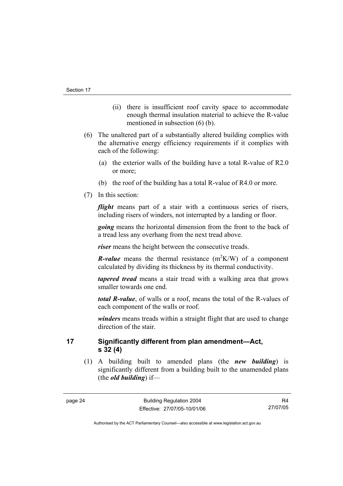- (ii) there is insufficient roof cavity space to accommodate enough thermal insulation material to achieve the R-value mentioned in subsection (6) (b).
- (6) The unaltered part of a substantially altered building complies with the alternative energy efficiency requirements if it complies with each of the following:
	- (a) the exterior walls of the building have a total R-value of R2.0 or more;
	- (b) the roof of the building has a total R-value of R4.0 or more.
- (7) In this section:

*flight* means part of a stair with a continuous series of risers, including risers of winders, not interrupted by a landing or floor.

*going* means the horizontal dimension from the front to the back of a tread less any overhang from the next tread above.

*riser* means the height between the consecutive treads.

*R*-value means the thermal resistance  $(m^2K/W)$  of a component calculated by dividing its thickness by its thermal conductivity.

*tapered tread* means a stair tread with a walking area that grows smaller towards one end.

*total R-value*, of walls or a roof, means the total of the R-values of each component of the walls or roof.

*winders* means treads within a straight flight that are used to change direction of the stair.

**17 Significantly different from plan amendment—Act, s 32 (4)** 

 (1) A building built to amended plans (the *new building*) is significantly different from a building built to the unamended plans (the *old building*) if—

R4 27/07/05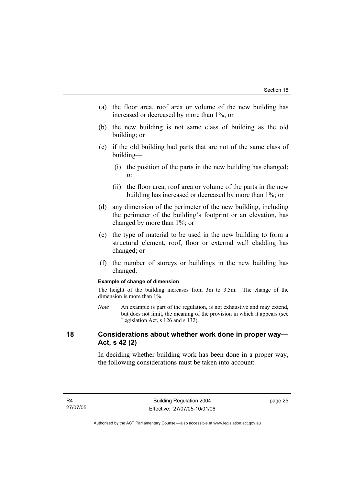- (a) the floor area, roof area or volume of the new building has increased or decreased by more than 1%; or
- (b) the new building is not same class of building as the old building; or
- (c) if the old building had parts that are not of the same class of building—
	- (i) the position of the parts in the new building has changed; or
	- (ii) the floor area, roof area or volume of the parts in the new building has increased or decreased by more than 1%; or
- (d) any dimension of the perimeter of the new building, including the perimeter of the building's footprint or an elevation, has changed by more than 1%; or
- (e) the type of material to be used in the new building to form a structural element, roof, floor or external wall cladding has changed; or
- (f) the number of storeys or buildings in the new building has changed.

#### **Example of change of dimension**

The height of the building increases from 3m to 3.5m. The change of the dimension is more than 1%.

*Note* An example is part of the regulation, is not exhaustive and may extend, but does not limit, the meaning of the provision in which it appears (see Legislation Act, s 126 and s 132).

## **18 Considerations about whether work done in proper way— Act, s 42 (2)**

In deciding whether building work has been done in a proper way, the following considerations must be taken into account: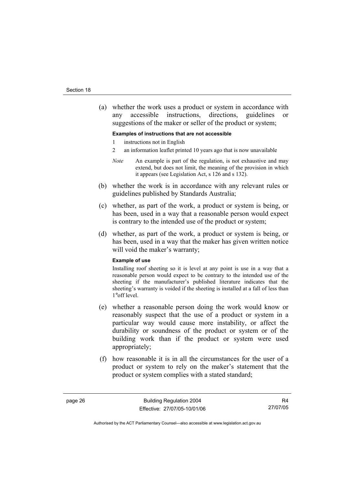(a) whether the work uses a product or system in accordance with any accessible instructions, directions, guidelines or suggestions of the maker or seller of the product or system;

#### **Examples of instructions that are not accessible**

- 1 instructions not in English
- 2 an information leaflet printed 10 years ago that is now unavailable
- *Note* An example is part of the regulation, is not exhaustive and may extend, but does not limit, the meaning of the provision in which it appears (see Legislation Act, s 126 and s 132).
- (b) whether the work is in accordance with any relevant rules or guidelines published by Standards Australia;
- (c) whether, as part of the work, a product or system is being, or has been, used in a way that a reasonable person would expect is contrary to the intended use of the product or system;
- (d) whether, as part of the work, a product or system is being, or has been, used in a way that the maker has given written notice will void the maker's warranty;

#### **Example of use**

Installing roof sheeting so it is level at any point is use in a way that a reasonable person would expect to be contrary to the intended use of the sheeting if the manufacturer's published literature indicates that the sheeting's warranty is voided if the sheeting is installed at a fall of less than 1°off level.

- (e) whether a reasonable person doing the work would know or reasonably suspect that the use of a product or system in a particular way would cause more instability, or affect the durability or soundness of the product or system or of the building work than if the product or system were used appropriately;
- (f) how reasonable it is in all the circumstances for the user of a product or system to rely on the maker's statement that the product or system complies with a stated standard;

R4 27/07/05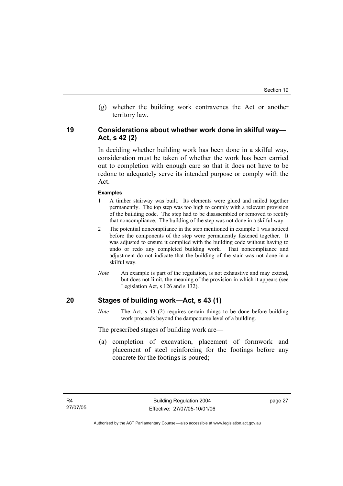(g) whether the building work contravenes the Act or another territory law.

## **19 Considerations about whether work done in skilful way— Act, s 42 (2)**

In deciding whether building work has been done in a skilful way, consideration must be taken of whether the work has been carried out to completion with enough care so that it does not have to be redone to adequately serve its intended purpose or comply with the Act.

#### **Examples**

- 1 A timber stairway was built. Its elements were glued and nailed together permanently. The top step was too high to comply with a relevant provision of the building code. The step had to be disassembled or removed to rectify that noncompliance. The building of the step was not done in a skilful way.
- 2 The potential noncompliance in the step mentioned in example 1 was noticed before the components of the step were permanently fastened together. It was adjusted to ensure it complied with the building code without having to undo or redo any completed building work. That noncompliance and adjustment do not indicate that the building of the stair was not done in a skilful way.
- *Note* An example is part of the regulation, is not exhaustive and may extend, but does not limit, the meaning of the provision in which it appears (see Legislation Act, s 126 and s 132).

## **20 Stages of building work—Act, s 43 (1)**

*Note* The Act, s 43 (2) requires certain things to be done before building work proceeds beyond the dampcourse level of a building.

The prescribed stages of building work are—

 (a) completion of excavation, placement of formwork and placement of steel reinforcing for the footings before any concrete for the footings is poured;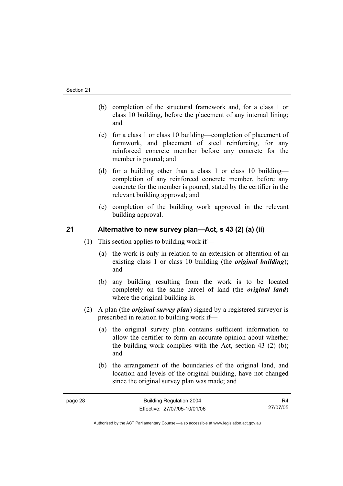- (b) completion of the structural framework and, for a class 1 or class 10 building, before the placement of any internal lining; and
- (c) for a class 1 or class 10 building—completion of placement of formwork, and placement of steel reinforcing, for any reinforced concrete member before any concrete for the member is poured; and
- (d) for a building other than a class 1 or class 10 building completion of any reinforced concrete member, before any concrete for the member is poured, stated by the certifier in the relevant building approval; and
- (e) completion of the building work approved in the relevant building approval.

## **21 Alternative to new survey plan—Act, s 43 (2) (a) (ii)**

- (1) This section applies to building work if—
	- (a) the work is only in relation to an extension or alteration of an existing class 1 or class 10 building (the *original building*); and
	- (b) any building resulting from the work is to be located completely on the same parcel of land (the *original land*) where the original building is.
- (2) A plan (the *original survey plan*) signed by a registered surveyor is prescribed in relation to building work if—
	- (a) the original survey plan contains sufficient information to allow the certifier to form an accurate opinion about whether the building work complies with the Act, section 43 (2) (b); and
	- (b) the arrangement of the boundaries of the original land, and location and levels of the original building, have not changed since the original survey plan was made; and

R4 27/07/05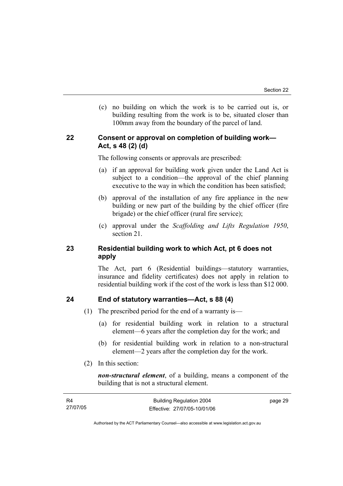(c) no building on which the work is to be carried out is, or building resulting from the work is to be, situated closer than 100mm away from the boundary of the parcel of land.

## **22 Consent or approval on completion of building work— Act, s 48 (2) (d)**

The following consents or approvals are prescribed:

- (a) if an approval for building work given under the Land Act is subject to a condition—the approval of the chief planning executive to the way in which the condition has been satisfied;
- (b) approval of the installation of any fire appliance in the new building or new part of the building by the chief officer (fire brigade) or the chief officer (rural fire service);
- (c) approval under the *Scaffolding and Lifts Regulation 1950*, section 21.

## **23 Residential building work to which Act, pt 6 does not apply**

The Act, part 6 (Residential buildings—statutory warranties, insurance and fidelity certificates) does not apply in relation to residential building work if the cost of the work is less than \$12 000.

## **24 End of statutory warranties—Act, s 88 (4)**

- (1) The prescribed period for the end of a warranty is—
	- (a) for residential building work in relation to a structural element—6 years after the completion day for the work; and
	- (b) for residential building work in relation to a non-structural element—2 years after the completion day for the work.
- (2) In this section:

*non-structural element*, of a building, means a component of the building that is not a structural element.

| - R4     | <b>Building Regulation 2004</b> | page 29 |
|----------|---------------------------------|---------|
| 27/07/05 | Effective: 27/07/05-10/01/06    |         |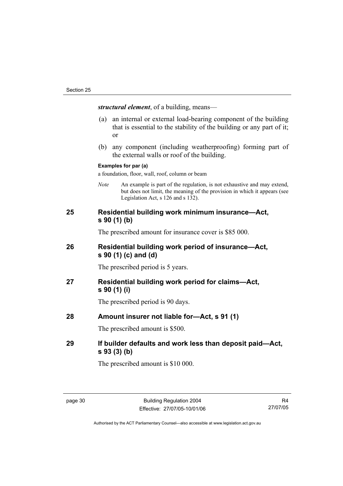*structural element*, of a building, means—

- (a) an internal or external load-bearing component of the building that is essential to the stability of the building or any part of it; or
- (b) any component (including weatherproofing) forming part of the external walls or roof of the building.

#### **Examples for par (a)**

a foundation, floor, wall, roof, column or beam

*Note* An example is part of the regulation, is not exhaustive and may extend, but does not limit, the meaning of the provision in which it appears (see Legislation Act, s 126 and s 132).

## **25 Residential building work minimum insurance—Act, s 90 (1) (b)**

The prescribed amount for insurance cover is \$85 000.

## **26 Residential building work period of insurance—Act, s 90 (1) (c) and (d)**

The prescribed period is 5 years.

## **27 Residential building work period for claims—Act, s 90 (1) (i)**

The prescribed period is 90 days.

## **28 Amount insurer not liable for—Act, s 91 (1)**

The prescribed amount is \$500.

## **29 If builder defaults and work less than deposit paid—Act, s 93 (3) (b)**

The prescribed amount is \$10 000.

R4 27/07/05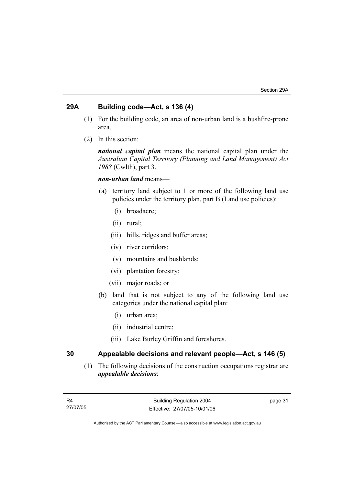## **29A Building code—Act, s 136 (4)**

- (1) For the building code, an area of non-urban land is a bushfire-prone area.
- (2) In this section:

*national capital plan* means the national capital plan under the *Australian Capital Territory (Planning and Land Management) Act 1988* (Cwlth), part 3.

### *non-urban land* means—

- (a) territory land subject to 1 or more of the following land use policies under the territory plan, part B (Land use policies):
	- (i) broadacre;
	- (ii) rural;
	- (iii) hills, ridges and buffer areas;
	- (iv) river corridors;
	- (v) mountains and bushlands;
	- (vi) plantation forestry;
	- (vii) major roads; or
- (b) land that is not subject to any of the following land use categories under the national capital plan:
	- (i) urban area;
	- (ii) industrial centre;
	- (iii) Lake Burley Griffin and foreshores.

## **30 Appealable decisions and relevant people—Act, s 146 (5)**

 (1) The following decisions of the construction occupations registrar are *appealable decisions*: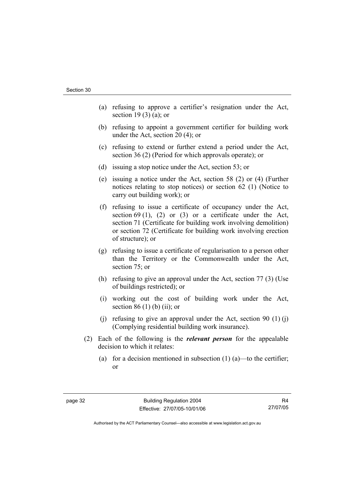- (a) refusing to approve a certifier's resignation under the Act, section 19 $(3)$  $(a)$ ; or
- (b) refusing to appoint a government certifier for building work under the Act, section 20 (4); or
- (c) refusing to extend or further extend a period under the Act, section 36 (2) (Period for which approvals operate); or
- (d) issuing a stop notice under the Act, section 53; or
- (e) issuing a notice under the Act, section 58 (2) or (4) (Further notices relating to stop notices) or section 62 (1) (Notice to carry out building work); or
- (f) refusing to issue a certificate of occupancy under the Act, section 69 (1), (2) or (3) or a certificate under the Act, section 71 (Certificate for building work involving demolition) or section 72 (Certificate for building work involving erection of structure); or
- (g) refusing to issue a certificate of regularisation to a person other than the Territory or the Commonwealth under the Act, section 75; or
- (h) refusing to give an approval under the Act, section 77 (3) (Use of buildings restricted); or
- (i) working out the cost of building work under the Act, section 86 $(1)$  $(b)$  $(ii)$ ; or
- (i) refusing to give an approval under the Act, section 90  $(1)$  (i) (Complying residential building work insurance).
- (2) Each of the following is the *relevant person* for the appealable decision to which it relates:
	- (a) for a decision mentioned in subsection  $(1)$  (a)—to the certifier; or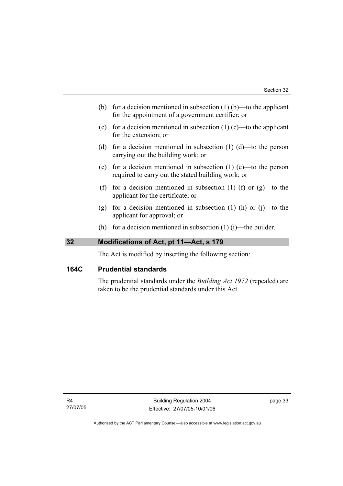- (b) for a decision mentioned in subsection  $(1)$  (b)—to the applicant for the appointment of a government certifier; or
- (c) for a decision mentioned in subsection  $(1)$  (c)—to the applicant for the extension; or
- (d) for a decision mentioned in subsection  $(1)$   $(d)$ —to the person carrying out the building work; or
- (e) for a decision mentioned in subsection (1) (e)—to the person required to carry out the stated building work; or
- (f) for a decision mentioned in subsection (1) (f) or  $(g)$ —to the applicant for the certificate; or
- (g) for a decision mentioned in subsection  $(1)$  (h) or  $(i)$ —to the applicant for approval; or
- (h) for a decision mentioned in subsection  $(1)$  (i)—the builder.

## **32 Modifications of Act, pt 11—Act, s 179**

The Act is modified by inserting the following section:

## **164C Prudential standards**

The prudential standards under the *Building Act 1972* (repealed) are taken to be the prudential standards under this Act.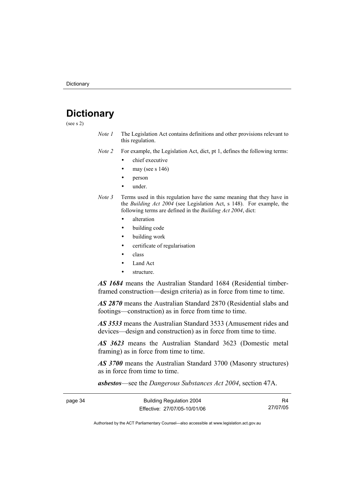## **Dictionary**

(see s 2)

*Note 1* The Legislation Act contains definitions and other provisions relevant to this regulation.

*Note 2* For example, the Legislation Act, dict, pt 1, defines the following terms:

- chief executive
- may (see s  $146$ )
- person
- under.
- *Note 3* Terms used in this regulation have the same meaning that they have in the *Building Act 2004* (see Legislation Act, s 148). For example, the following terms are defined in the *Building Act 2004*, dict:
	- alteration
	- building code
	- building work
	- certificate of regularisation
	- class
	- Land Act
	- structure.

*AS 1684* means the Australian Standard 1684 (Residential timberframed construction—design criteria) as in force from time to time.

*AS 2870* means the Australian Standard 2870 (Residential slabs and footings—construction) as in force from time to time.

*AS 3533* means the Australian Standard 3533 (Amusement rides and devices—design and construction) as in force from time to time.

*AS 3623* means the Australian Standard 3623 (Domestic metal framing) as in force from time to time.

*AS 3700* means the Australian Standard 3700 (Masonry structures) as in force from time to time.

*asbestos*—see the *Dangerous Substances Act 2004*, section 47A.

| page 34 | <b>Building Regulation 2004</b> |          |
|---------|---------------------------------|----------|
|         | Effective: 27/07/05-10/01/06    | 27/07/05 |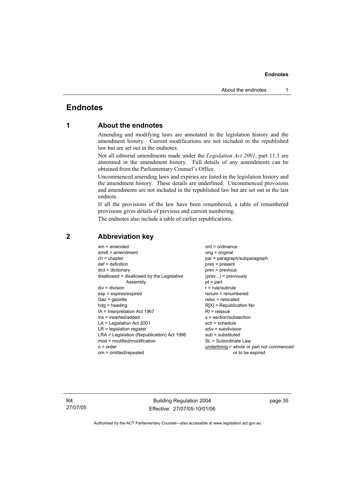## **Endnotes**

## **1 About the endnotes**

Amending and modifying laws are annotated in the legislation history and the amendment history. Current modifications are not included in the republished law but are set out in the endnotes.

Not all editorial amendments made under the *Legislation Act 2001*, part 11.3 are annotated in the amendment history. Full details of any amendments can be obtained from the Parliamentary Counsel's Office.

Uncommenced amending laws and expiries are listed in the legislation history and the amendment history. These details are underlined. Uncommenced provisions and amendments are not included in the republished law but are set out in the last endnote.

If all the provisions of the law have been renumbered, a table of renumbered provisions gives details of previous and current numbering.

The endnotes also include a table of earlier republications.

| $am = amended$                             | $ord = ordinance$                         |
|--------------------------------------------|-------------------------------------------|
| $amdt = amendment$                         | orig = original                           |
| $ch = chapter$                             | par = paragraph/subparagraph              |
| $def = definition$                         | $pres = present$                          |
| $dict = dictionary$                        | $prev = previous$                         |
| disallowed = disallowed by the Legislative | $(\text{prev}) = \text{previously}$       |
| Assembly                                   | $pt = part$                               |
| $div = division$                           | $r = rule/subrule$                        |
| $exp = expires/expired$                    | $renum = renumbered$                      |
| $Gaz = qazette$                            | $reloc = relocated$                       |
| $hda =$ heading                            | $R[X]$ = Republication No                 |
| $IA = Interpretation Act 1967$             | $RI =$ reissue                            |
| $ins = inserted/added$                     | $s = section/subsection$                  |
| $LA =$ Legislation Act 2001                | $sch = schedule$                          |
| $LR =$ legislation register                | $sdiv = subdivision$                      |
| LRA = Legislation (Republication) Act 1996 | $sub =$ substituted                       |
| mod = modified/modification                | SL = Subordinate Law                      |
| $o = order$                                | underlining = whole or part not commenced |
| om = omitted/repealed                      | or to be expired                          |
|                                            |                                           |

### **2 Abbreviation key**

R4 27/07/05

Building Regulation 2004 Effective: 27/07/05-10/01/06 page 35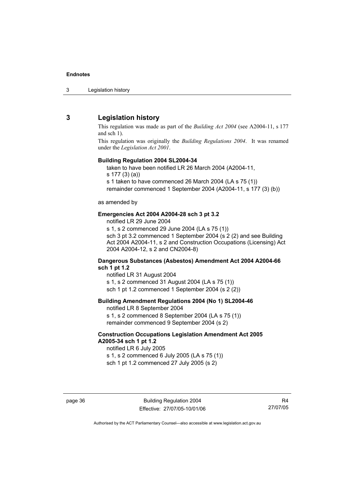3 Legislation history

## **3 Legislation history**

This regulation was made as part of the *Building Act 2004* (see A2004-11, s 177 and sch 1).

This regulation was originally the *Building Regulations 2004*. It was renamed under the *Legislation Act 2001*.

#### **Building Regulation 2004 SL2004-34**

taken to have been notified LR 26 March 2004 (A2004-11,

s 177 (3) (a))

s 1 taken to have commenced 26 March 2004 (LA s 75 (1))

remainder commenced 1 September 2004 (A2004-11, s 177 (3) (b))

#### as amended by

#### **Emergencies Act 2004 A2004-28 sch 3 pt 3.2**

notified LR 29 June 2004

s 1, s 2 commenced 29 June 2004 (LA s 75 (1)) sch 3 pt 3.2 commenced 1 September 2004 (s 2 (2) and see Building Act 2004 A2004-11, s 2 and Construction Occupations (Licensing) Act 2004 A2004-12, s 2 and CN2004-8)

#### **Dangerous Substances (Asbestos) Amendment Act 2004 A2004-66 sch 1 pt 1.2**

notified LR 31 August 2004 s 1, s 2 commenced 31 August 2004 (LA s 75 (1)) sch 1 pt 1.2 commenced 1 September 2004 (s 2 (2))

#### **Building Amendment Regulations 2004 (No 1) SL2004-46**

notified LR 8 September 2004 s 1, s 2 commenced 8 September 2004 (LA s 75 (1)) remainder commenced 9 September 2004 (s 2)

#### **Construction Occupations Legislation Amendment Act 2005 A2005-34 sch 1 pt 1.2**

notified LR 6 July 2005 s 1, s 2 commenced 6 July 2005 (LA s 75 (1)) sch 1 pt 1.2 commenced 27 July 2005 (s 2)

R4 27/07/05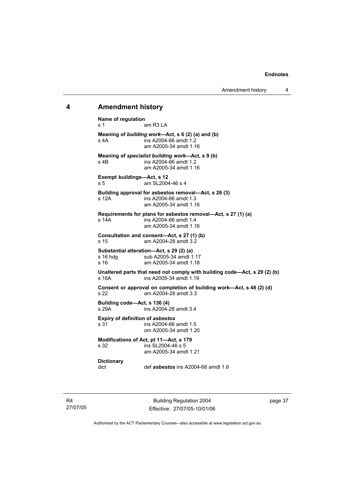#### **4 Amendment history**

**Name of regulation**  s 1 am R3 LA **Meaning of** *building work***—Act, s 6 (2) (a) and (b)**  s 4A ins A2004-66 amdt 1.2 am A2005-34 amdt 1.16 **Meaning of** *specialist building work***—Act, s 9 (b)**  s 4B ins A2004-66 amdt 1.2 am A2005-34 amdt 1.16 **Exempt buildings—Act, s 12**  s 5 am SL2004-46 s 4 **Building approval for asbestos removal—Act, s 26 (3)**  s 12A ins A2004-66 amdt 1.3 am A2005-34 amdt 1.16 **Requirements for plans for asbestos removal—Act, s 27 (1) (a)**  s 14A ins A2004-66 amdt 1.4 am A2005-34 amdt 1.16 **Consultation and consent—Act, s 27 (1) (b)**  s 15 am A2004-28 amdt 3.2 **Substantial alteration—Act, s 29 (2) (a)**  s 16 hdg sub A2005-34 amdt 1.17<br>s 16 strong am A2005-34 amdt 1.18 am A2005-34 amdt 1.18 **Unaltered parts that need not comply with building code—Act, s 29 (2) (b)**  s 16A ins A2005-34 amdt 1.19 **Consent or approval on completion of building work—Act, s 48 (2) (d) s 22 am A2004-28 amdt 3.3** am A2004-28 amdt 3.3 **Building code—Act, s 136 (4)**  s 29A ins A2004-28 amdt 3.4 **Expiry of definition of** *asbestos*<br>s 31 **ins A2004-66** ins A2004-66 amdt 1.5 om A2005-34 amdt 1.20 **Modifications of Act, pt 11—Act, s 179**<br>s 32<br> $\frac{32}{10}$  **ins SI 2004-46 s 5**  $ins S1 2004-46 s 5$  am A2005-34 amdt 1.21 **Dictionary**  dict def *asbestos* ins A2004-66 amdt 1.6

R4 27/07/05

Building Regulation 2004 Effective: 27/07/05-10/01/06 page 37